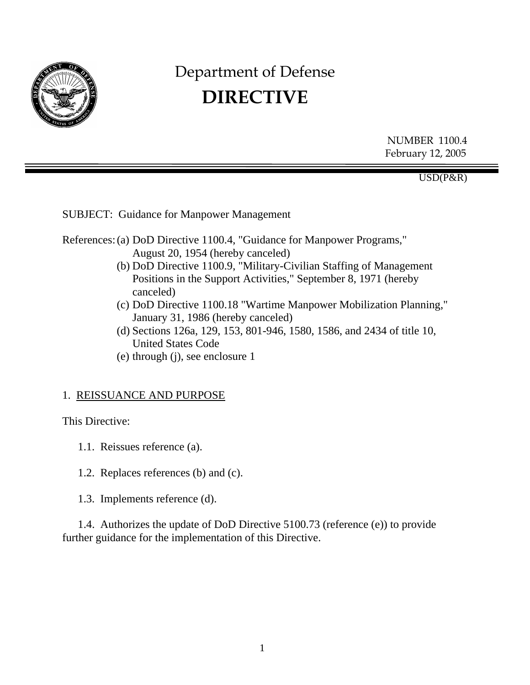

# Department of Defense **DIRECTIVE**

NUMBER 1100.4 February 12, 2005

USD(P&R)

SUBJECT: Guidance for Manpower Management

References: (a) DoD Directive 1100.4, "Guidance for Manpower Programs," August 20, 1954 (hereby canceled)

- (b) DoD Directive 1100.9, "Military-Civilian Staffing of Management Positions in the Support Activities," September 8, 1971 (hereby canceled)
- (c) DoD Directive 1100.18 "Wartime Manpower Mobilization Planning," January 31, 1986 (hereby canceled)
- (d) Sections 126a, 129, 153, 801-946, 1580, 1586, and 2434 of title 10, United States Code
- (e) through (j), see enclosure 1

#### 1. REISSUANCE AND PURPOSE

This Directive:

- 1.1. Reissues reference (a).
- 1.2. Replaces references (b) and (c).
- 1.3. Implements reference (d).

1.4. Authorizes the update of DoD Directive 5100.73 (reference (e)) to provide further guidance for the implementation of this Directive.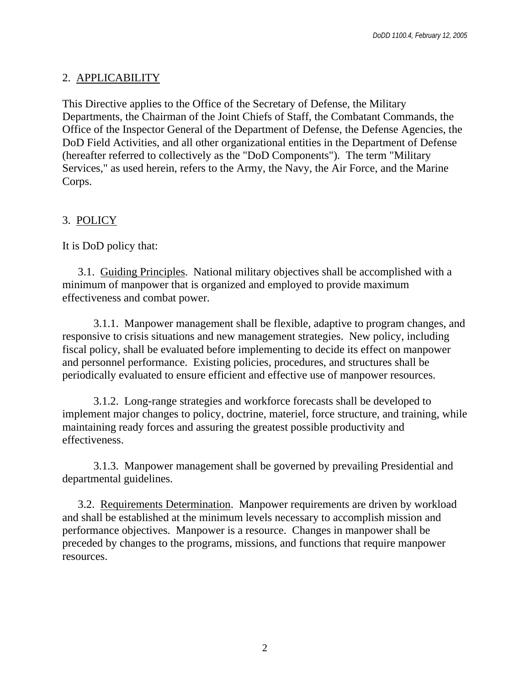## 2. APPLICABILITY

This Directive applies to the Office of the Secretary of Defense, the Military Departments, the Chairman of the Joint Chiefs of Staff, the Combatant Commands, the Office of the Inspector General of the Department of Defense, the Defense Agencies, the DoD Field Activities, and all other organizational entities in the Department of Defense (hereafter referred to collectively as the "DoD Components"). The term "Military Services," as used herein, refers to the Army, the Navy, the Air Force, and the Marine Corps.

# 3. POLICY

It is DoD policy that:

 3.1. Guiding Principles. National military objectives shall be accomplished with a minimum of manpower that is organized and employed to provide maximum effectiveness and combat power.

3.1.1. Manpower management shall be flexible, adaptive to program changes, and responsive to crisis situations and new management strategies. New policy, including fiscal policy, shall be evaluated before implementing to decide its effect on manpower and personnel performance. Existing policies, procedures, and structures shall be periodically evaluated to ensure efficient and effective use of manpower resources.

3.1.2. Long-range strategies and workforce forecasts shall be developed to implement major changes to policy, doctrine, materiel, force structure, and training, while maintaining ready forces and assuring the greatest possible productivity and effectiveness.

3.1.3. Manpower management shall be governed by prevailing Presidential and departmental guidelines.

 3.2. Requirements Determination. Manpower requirements are driven by workload and shall be established at the minimum levels necessary to accomplish mission and performance objectives. Manpower is a resource. Changes in manpower shall be preceded by changes to the programs, missions, and functions that require manpower resources.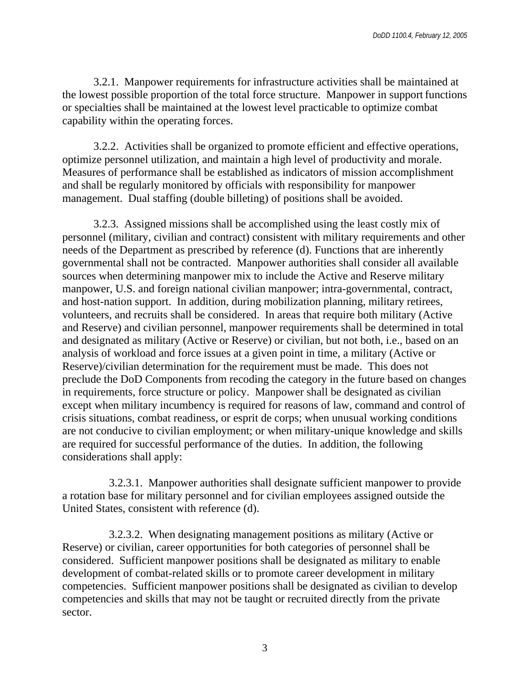3.2.1. Manpower requirements for infrastructure activities shall be maintained at the lowest possible proportion of the total force structure. Manpower in support functions or specialties shall be maintained at the lowest level practicable to optimize combat capability within the operating forces.

3.2.2. Activities shall be organized to promote efficient and effective operations, optimize personnel utilization, and maintain a high level of productivity and morale. Measures of performance shall be established as indicators of mission accomplishment and shall be regularly monitored by officials with responsibility for manpower management. Dual staffing (double billeting) of positions shall be avoided.

3.2.3. Assigned missions shall be accomplished using the least costly mix of personnel (military, civilian and contract) consistent with military requirements and other needs of the Department as prescribed by reference (d). Functions that are inherently governmental shall not be contracted. Manpower authorities shall consider all available sources when determining manpower mix to include the Active and Reserve military manpower, U.S. and foreign national civilian manpower; intra-governmental, contract, and host-nation support. In addition, during mobilization planning, military retirees, volunteers, and recruits shall be considered. In areas that require both military (Active and Reserve) and civilian personnel, manpower requirements shall be determined in total and designated as military (Active or Reserve) or civilian, but not both, i.e., based on an analysis of workload and force issues at a given point in time, a military (Active or Reserve)/civilian determination for the requirement must be made. This does not preclude the DoD Components from recoding the category in the future based on changes in requirements, force structure or policy. Manpower shall be designated as civilian except when military incumbency is required for reasons of law, command and control of crisis situations, combat readiness, or esprit de corps; when unusual working conditions are not conducive to civilian employment; or when military-unique knowledge and skills are required for successful performance of the duties. In addition, the following considerations shall apply:

3.2.3.1. Manpower authorities shall designate sufficient manpower to provide a rotation base for military personnel and for civilian employees assigned outside the United States, consistent with reference (d).

 3.2.3.2. When designating management positions as military (Active or Reserve) or civilian, career opportunities for both categories of personnel shall be considered. Sufficient manpower positions shall be designated as military to enable development of combat-related skills or to promote career development in military competencies. Sufficient manpower positions shall be designated as civilian to develop competencies and skills that may not be taught or recruited directly from the private sector.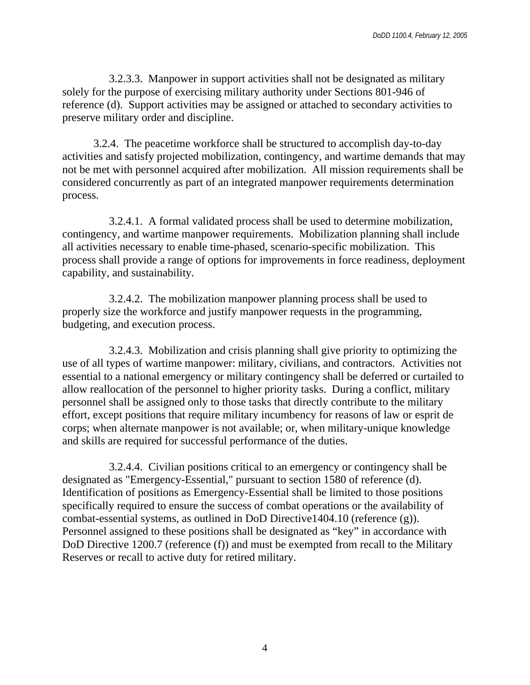3.2.3.3. Manpower in support activities shall not be designated as military solely for the purpose of exercising military authority under Sections 801-946 of reference (d). Support activities may be assigned or attached to secondary activities to preserve military order and discipline.

3.2.4. The peacetime workforce shall be structured to accomplish day-to-day activities and satisfy projected mobilization, contingency, and wartime demands that may not be met with personnel acquired after mobilization. All mission requirements shall be considered concurrently as part of an integrated manpower requirements determination process.

 3.2.4.1. A formal validated process shall be used to determine mobilization, contingency, and wartime manpower requirements. Mobilization planning shall include all activities necessary to enable time-phased, scenario-specific mobilization. This process shall provide a range of options for improvements in force readiness, deployment capability, and sustainability.

3.2.4.2. The mobilization manpower planning process shall be used to properly size the workforce and justify manpower requests in the programming, budgeting, and execution process.

 3.2.4.3. Mobilization and crisis planning shall give priority to optimizing the use of all types of wartime manpower: military, civilians, and contractors. Activities not essential to a national emergency or military contingency shall be deferred or curtailed to allow reallocation of the personnel to higher priority tasks. During a conflict, military personnel shall be assigned only to those tasks that directly contribute to the military effort, except positions that require military incumbency for reasons of law or esprit de corps; when alternate manpower is not available; or, when military-unique knowledge and skills are required for successful performance of the duties.

3.2.4.4. Civilian positions critical to an emergency or contingency shall be designated as "Emergency-Essential," pursuant to section 1580 of reference (d). Identification of positions as Emergency-Essential shall be limited to those positions specifically required to ensure the success of combat operations or the availability of combat-essential systems, as outlined in DoD Directive1404.10 (reference (g)). Personnel assigned to these positions shall be designated as "key" in accordance with DoD Directive 1200.7 (reference (f)) and must be exempted from recall to the Military Reserves or recall to active duty for retired military.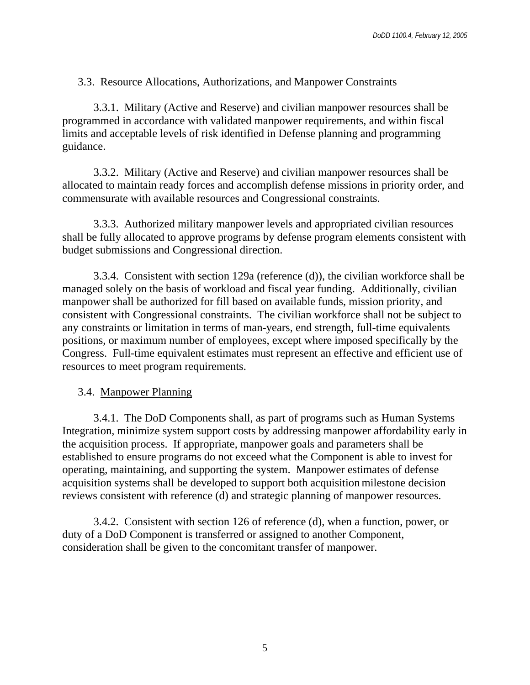## 3.3. Resource Allocations, Authorizations, and Manpower Constraints

3.3.1. Military (Active and Reserve) and civilian manpower resources shall be programmed in accordance with validated manpower requirements, and within fiscal limits and acceptable levels of risk identified in Defense planning and programming guidance.

3.3.2. Military (Active and Reserve) and civilian manpower resources shall be allocated to maintain ready forces and accomplish defense missions in priority order, and commensurate with available resources and Congressional constraints.

3.3.3. Authorized military manpower levels and appropriated civilian resources shall be fully allocated to approve programs by defense program elements consistent with budget submissions and Congressional direction.

3.3.4. Consistent with section 129a (reference (d)), the civilian workforce shall be managed solely on the basis of workload and fiscal year funding. Additionally, civilian manpower shall be authorized for fill based on available funds, mission priority, and consistent with Congressional constraints. The civilian workforce shall not be subject to any constraints or limitation in terms of man-years, end strength, full-time equivalents positions, or maximum number of employees, except where imposed specifically by the Congress. Full-time equivalent estimates must represent an effective and efficient use of resources to meet program requirements.

### 3.4. Manpower Planning

3.4.1. The DoD Components shall, as part of programs such as Human Systems Integration, minimize system support costs by addressing manpower affordability early in the acquisition process. If appropriate, manpower goals and parameters shall be established to ensure programs do not exceed what the Component is able to invest for operating, maintaining, and supporting the system. Manpower estimates of defense acquisition systems shall be developed to support both acquisition milestone decision reviews consistent with reference (d) and strategic planning of manpower resources.

3.4.2. Consistent with section 126 of reference (d), when a function, power, or duty of a DoD Component is transferred or assigned to another Component, consideration shall be given to the concomitant transfer of manpower.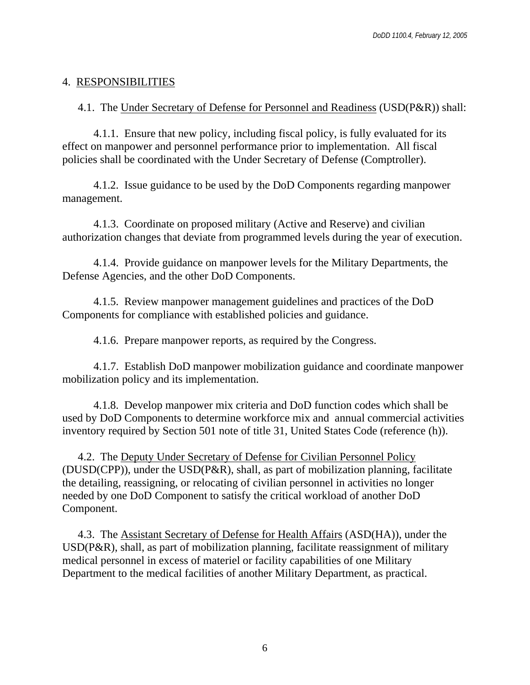#### 4. RESPONSIBILITIES

4.1. The Under Secretary of Defense for Personnel and Readiness (USD(P&R)) shall:

4.1.1. Ensure that new policy, including fiscal policy, is fully evaluated for its effect on manpower and personnel performance prior to implementation. All fiscal policies shall be coordinated with the Under Secretary of Defense (Comptroller).

4.1.2. Issue guidance to be used by the DoD Components regarding manpower management.

4.1.3. Coordinate on proposed military (Active and Reserve) and civilian authorization changes that deviate from programmed levels during the year of execution.

4.1.4. Provide guidance on manpower levels for the Military Departments, the Defense Agencies, and the other DoD Components.

4.1.5. Review manpower management guidelines and practices of the DoD Components for compliance with established policies and guidance.

4.1.6. Prepare manpower reports, as required by the Congress.

4.1.7. Establish DoD manpower mobilization guidance and coordinate manpower mobilization policy and its implementation.

4.1.8. Develop manpower mix criteria and DoD function codes which shall be used by DoD Components to determine workforce mix and annual commercial activities inventory required by Section 501 note of title 31, United States Code (reference (h)).

4.2. The Deputy Under Secretary of Defense for Civilian Personnel Policy (DUSD(CPP)), under the USD(P&R), shall, as part of mobilization planning, facilitate the detailing, reassigning, or relocating of civilian personnel in activities no longer needed by one DoD Component to satisfy the critical workload of another DoD Component.

4.3. The Assistant Secretary of Defense for Health Affairs (ASD(HA)), under the USD(P&R), shall, as part of mobilization planning, facilitate reassignment of military medical personnel in excess of materiel or facility capabilities of one Military Department to the medical facilities of another Military Department, as practical.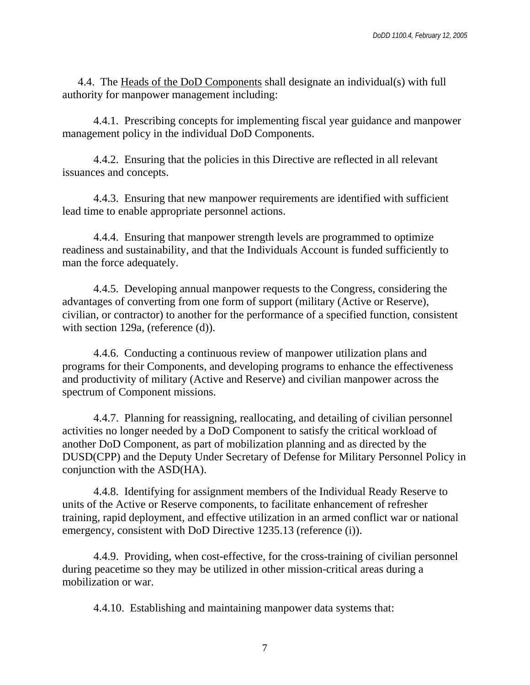4.4. The Heads of the DoD Components shall designate an individual(s) with full authority for manpower management including:

4.4.1. Prescribing concepts for implementing fiscal year guidance and manpower management policy in the individual DoD Components.

4.4.2. Ensuring that the policies in this Directive are reflected in all relevant issuances and concepts.

4.4.3. Ensuring that new manpower requirements are identified with sufficient lead time to enable appropriate personnel actions.

4.4.4. Ensuring that manpower strength levels are programmed to optimize readiness and sustainability, and that the Individuals Account is funded sufficiently to man the force adequately.

4.4.5. Developing annual manpower requests to the Congress, considering the advantages of converting from one form of support (military (Active or Reserve), civilian, or contractor) to another for the performance of a specified function, consistent with section 129a, (reference (d)).

4.4.6. Conducting a continuous review of manpower utilization plans and programs for their Components, and developing programs to enhance the effectiveness and productivity of military (Active and Reserve) and civilian manpower across the spectrum of Component missions.

4.4.7. Planning for reassigning, reallocating, and detailing of civilian personnel activities no longer needed by a DoD Component to satisfy the critical workload of another DoD Component, as part of mobilization planning and as directed by the DUSD(CPP) and the Deputy Under Secretary of Defense for Military Personnel Policy in conjunction with the ASD(HA).

4.4.8. Identifying for assignment members of the Individual Ready Reserve to units of the Active or Reserve components, to facilitate enhancement of refresher training, rapid deployment, and effective utilization in an armed conflict war or national emergency, consistent with DoD Directive 1235.13 (reference (i)).

4.4.9. Providing, when cost-effective, for the cross-training of civilian personnel during peacetime so they may be utilized in other mission-critical areas during a mobilization or war.

4.4.10. Establishing and maintaining manpower data systems that: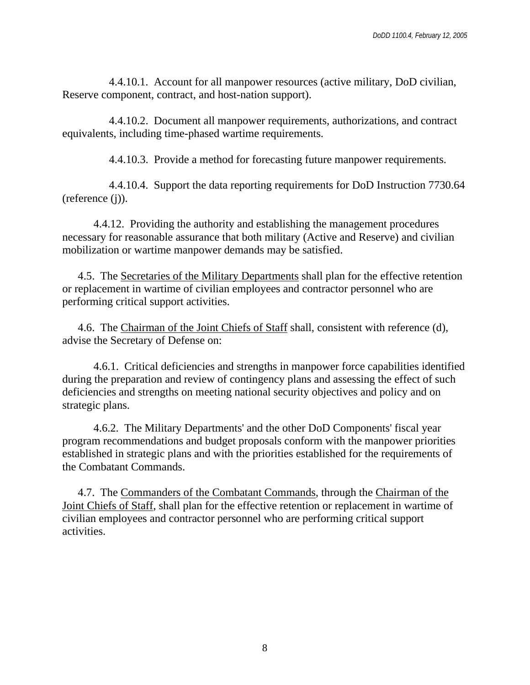4.4.10.1. Account for all manpower resources (active military, DoD civilian, Reserve component, contract, and host-nation support).

4.4.10.2. Document all manpower requirements, authorizations, and contract equivalents, including time-phased wartime requirements.

4.4.10.3. Provide a method for forecasting future manpower requirements.

4.4.10.4. Support the data reporting requirements for DoD Instruction 7730.64 (reference (j)).

4.4.12. Providing the authority and establishing the management procedures necessary for reasonable assurance that both military (Active and Reserve) and civilian mobilization or wartime manpower demands may be satisfied.

4.5. The Secretaries of the Military Departments shall plan for the effective retention or replacement in wartime of civilian employees and contractor personnel who are performing critical support activities.

4.6. The Chairman of the Joint Chiefs of Staff shall, consistent with reference (d), advise the Secretary of Defense on:

4.6.1. Critical deficiencies and strengths in manpower force capabilities identified during the preparation and review of contingency plans and assessing the effect of such deficiencies and strengths on meeting national security objectives and policy and on strategic plans.

4.6.2. The Military Departments' and the other DoD Components' fiscal year program recommendations and budget proposals conform with the manpower priorities established in strategic plans and with the priorities established for the requirements of the Combatant Commands.

4.7. The Commanders of the Combatant Commands, through the Chairman of the Joint Chiefs of Staff, shall plan for the effective retention or replacement in wartime of civilian employees and contractor personnel who are performing critical support activities.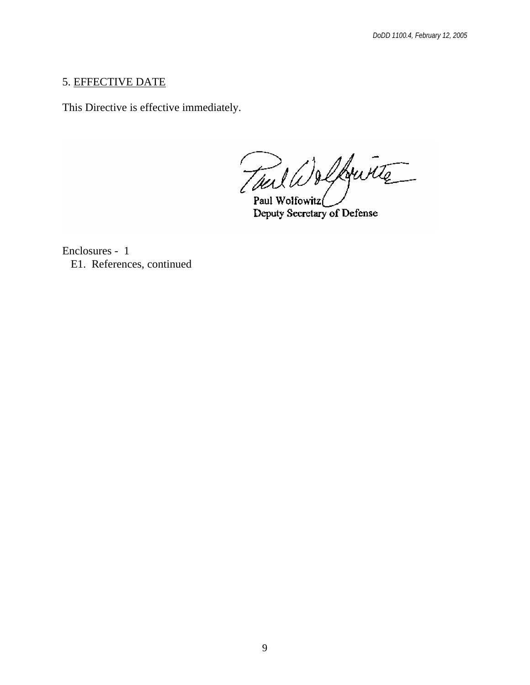#### 5. EFFECTIVE DATE

This Directive is effective immediately.

Tail Wolfwitz

Paul Wolfowitz Deputy Secretary of Defense

Enclosures - 1 E1. References, continued